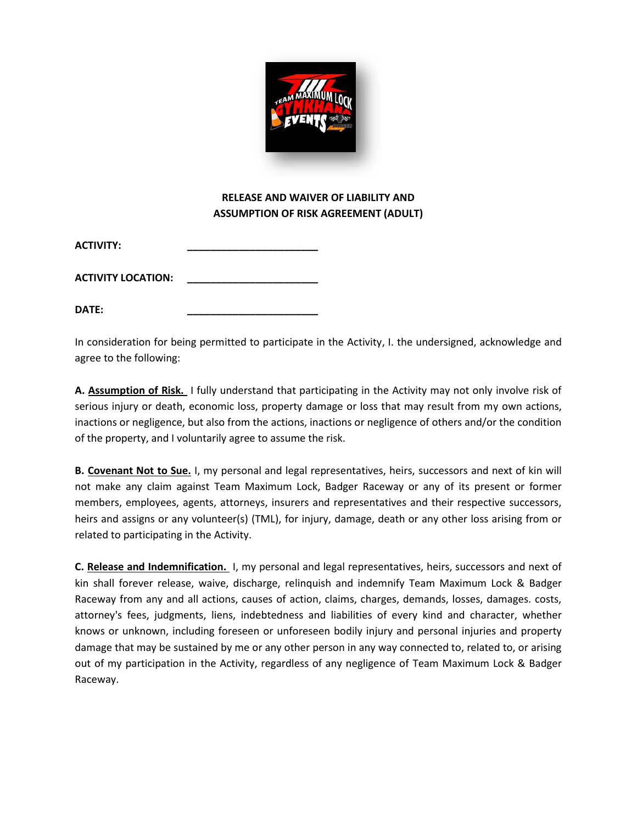

## **RELEASE AND WAIVER OF LIABILITY AND ASSUMPTION OF RISK AGREEMENT (ADULT)**

| <b>ACTIVITY:</b> |
|------------------|
|                  |

**ACTIVITY LOCATION: \_\_\_\_\_\_\_\_\_\_\_\_\_\_\_\_\_\_\_\_\_\_\_**

**DATE: \_\_\_\_\_\_\_\_\_\_\_\_\_\_\_\_\_\_\_\_\_\_\_**

In consideration for being permitted to participate in the Activity, I. the undersigned, acknowledge and agree to the following:

**A. Assumption of Risk.** I fully understand that participating in the Activity may not only involve risk of serious injury or death, economic loss, property damage or loss that may result from my own actions, inactions or negligence, but also from the actions, inactions or negligence of others and/or the condition of the property, and I voluntarily agree to assume the risk.

**B. Covenant Not to Sue.** I, my personal and legal representatives, heirs, successors and next of kin will not make any claim against Team Maximum Lock, Badger Raceway or any of its present or former members, employees, agents, attorneys, insurers and representatives and their respective successors, heirs and assigns or any volunteer(s) (TML), for injury, damage, death or any other loss arising from or related to participating in the Activity.

**C. Release and Indemnification.** I, my personal and legal representatives, heirs, successors and next of kin shall forever release, waive, discharge, relinquish and indemnify Team Maximum Lock & Badger Raceway from any and all actions, causes of action, claims, charges, demands, losses, damages. costs, attorney's fees, judgments, liens, indebtedness and liabilities of every kind and character, whether knows or unknown, including foreseen or unforeseen bodily injury and personal injuries and property damage that may be sustained by me or any other person in any way connected to, related to, or arising out of my participation in the Activity, regardless of any negligence of Team Maximum Lock & Badger Raceway.